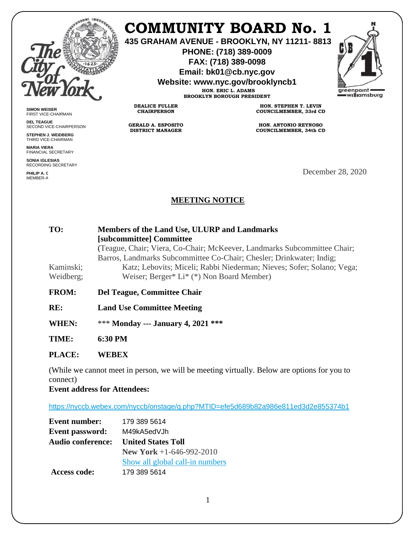

**SIMON WEISER** FIRST VICE-CHAIRMAN **DEL TEAGUE**

**PHILIP A.C.** MEMBER-A

SECOND VICE-CHAIRPERSON **STEPHEN J. WEIDBERG** THIRD VICE-CHAIRMAN **MARIA VIERA** FINANCIAL SECRETARY **SONIA IGLESIAS** RECORDING SECRETARY

## **COMMUNITY BOARD No. 1**

**435 GRAHAM AVENUE - BROOKLYN, NY 11211- 8813**

**PHONE: (718) 389-0009 FAX: (718) 389-0098**

**Email: bk01@cb.nyc.gov**

**Website: www.nyc.gov/brooklyncb1**

**HON. ERIC L. ADAMS BROOKLYN BOROUGH PRESIDENT**



**DEALICE FULLER CHAIRPERSON**

> **GERALD A. ESPOSITO DISTRICT MANAGER**

**HON. STEPHEN T. LEVIN COUNCILMEMBER, 33rd CD**

**HON. ANTONIO REYNOSO COUNCILMEMBER, 34th CD**

December 28, 2020

## **MEETING NOTICE**

| TO:<br>Kaminski;<br>Weidberg; | Members of the Land Use, ULURP and Landmarks<br>[subcommittee] Committee<br>(Teague, Chair; Viera, Co-Chair; McKeever, Landmarks Subcommittee Chair;<br>Barros, Landmarks Subcommittee Co-Chair; Chesler; Drinkwater; Indig;<br>Katz; Lebovits; Miceli; Rabbi Niederman; Nieves; Sofer; Solano; Vega;<br>Weiser; Berger* Li* (*) Non Board Member) |  |
|-------------------------------|----------------------------------------------------------------------------------------------------------------------------------------------------------------------------------------------------------------------------------------------------------------------------------------------------------------------------------------------------|--|
| <b>FROM:</b>                  | Del Teague, Committee Chair                                                                                                                                                                                                                                                                                                                        |  |
| RE:                           | <b>Land Use Committee Meeting</b>                                                                                                                                                                                                                                                                                                                  |  |
| <b>WHEN:</b>                  | *** Monday --- January 4, 2021 ***                                                                                                                                                                                                                                                                                                                 |  |
| TIME:                         | 6:30 PM                                                                                                                                                                                                                                                                                                                                            |  |
| PLACE:                        | WEREX                                                                                                                                                                                                                                                                                                                                              |  |

(While we cannot meet in person, we will be meeting virtually. Below are options for you to connect)

**Event address for Attendees:**

<https://nyccb.webex.com/nyccb/onstage/g.php?MTID=efe5d689b82a986e811ed3d2e855374b1>

| <b>Event number:</b>     | 179 389 5614                    |
|--------------------------|---------------------------------|
| <b>Event password:</b>   | M49kA5edVJh                     |
| <b>Audio conference:</b> | <b>United States Toll</b>       |
|                          | <b>New York</b> +1-646-992-2010 |
|                          | Show all global call-in numbers |
| Access code:             | 179 389 5614                    |